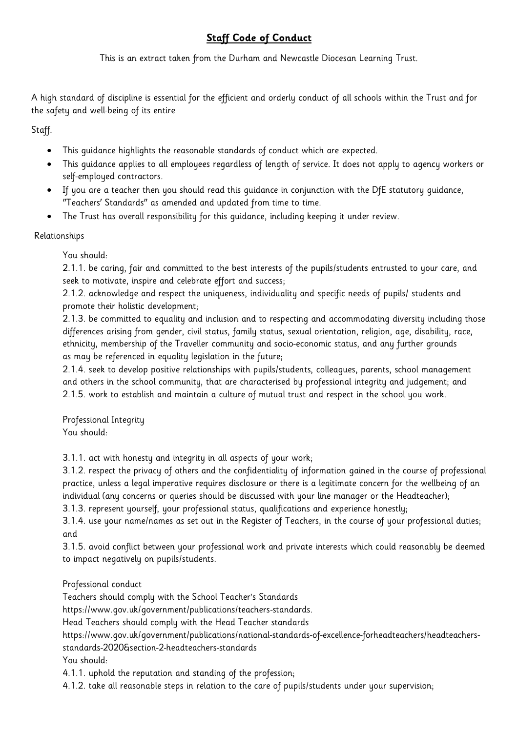## **Staff Code of Conduct**

This is an extract taken from the Durham and Newcastle Diocesan Learning Trust.

A high standard of discipline is essential for the efficient and orderly conduct of all schools within the Trust and for the safety and well-being of its entire

Staff.

- This guidance highlights the reasonable standards of conduct which are expected.
- This guidance applies to all employees regardless of length of service. It does not apply to agency workers or self-employed contractors.
- If you are a teacher then you should read this guidance in conjunction with the DfE statutory guidance, "Teachers' Standards" as amended and updated from time to time.
- The Trust has overall responsibility for this guidance, including keeping it under review.

## Relationships

You should:

2.1.1. be caring, fair and committed to the best interests of the pupils/students entrusted to your care, and seek to motivate, inspire and celebrate effort and success;

2.1.2. acknowledge and respect the uniqueness, individuality and specific needs of pupils/ students and promote their holistic development;

2.1.3. be committed to equality and inclusion and to respecting and accommodating diversity including those differences arising from gender, civil status, family status, sexual orientation, religion, age, disability, race, ethnicity, membership of the Traveller community and socio-economic status, and any further grounds as may be referenced in equality legislation in the future;

2.1.4. seek to develop positive relationships with pupils/students, colleagues, parents, school management and others in the school community, that are characterised by professional integrity and judgement; and 2.1.5. work to establish and maintain a culture of mutual trust and respect in the school you work.

Professional Integrity You should:

3.1.1. act with honesty and integrity in all aspects of your work;

3.1.2. respect the privacy of others and the confidentiality of information gained in the course of professional practice, unless a legal imperative requires disclosure or there is a legitimate concern for the wellbeing of an individual (any concerns or queries should be discussed with your line manager or the Headteacher);

3.1.3. represent yourself, your professional status, qualifications and experience honestly;

3.1.4. use your name/names as set out in the Register of Teachers, in the course of your professional duties; and

3.1.5. avoid conflict between your professional work and private interests which could reasonably be deemed to impact negatively on pupils/students.

Professional conduct

Teachers should comply with the School Teacher's Standards

https://www.gov.uk/government/publications/teachers-standards.

Head Teachers should comply with the Head Teacher standards

https://www.gov.uk/government/publications/national-standards-of-excellence-forheadteachers/headteachersstandards-2020&section-2-headteachers-standards

You should:

4.1.1. uphold the reputation and standing of the profession;

4.1.2. take all reasonable steps in relation to the care of pupils/students under your supervision;